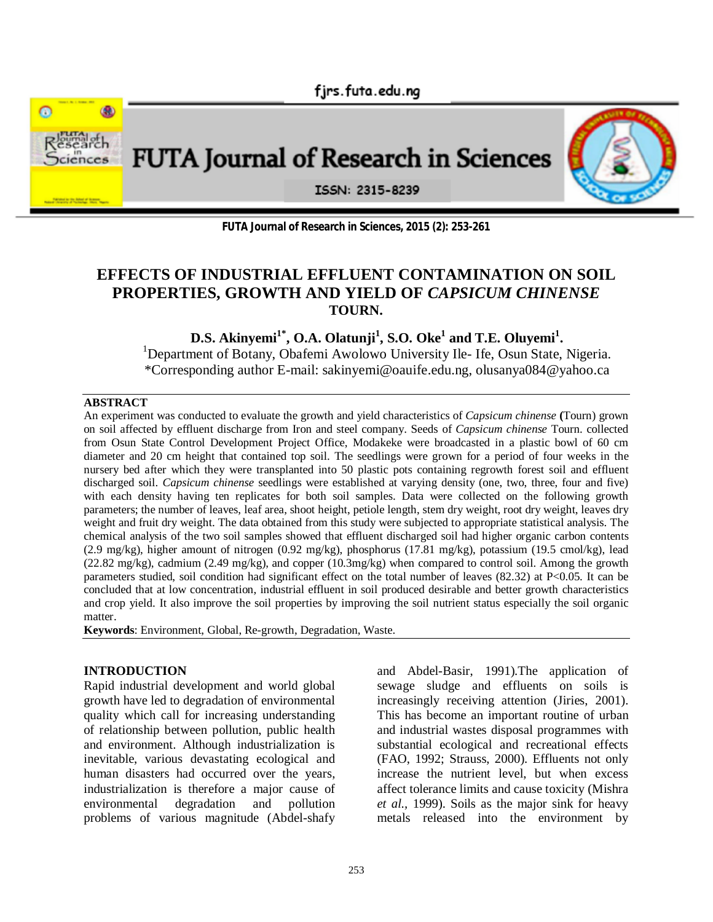



**FUTA Journal of Research in Sciences, 2015 (2): 253-261**

# **EFFECTS OF INDUSTRIAL EFFLUENT CONTAMINATION ON SOIL PROPERTIES, GROWTH AND YIELD OF** *CAPSICUM CHINENSE* **TOURN.**

**D.S. Akinyemi1\* , O.A. Olatunji<sup>1</sup> , S.O. Oke<sup>1</sup> and T.E. Oluyemi<sup>1</sup> .**

<sup>1</sup>Department of Botany, Obafemi Awolowo University Ile- Ife, Osun State, Nigeria. \*Corresponding author E-mail: sakinyemi@oauife.edu.ng, olusanya084@yahoo.ca

#### **ABSTRACT**

An experiment was conducted to evaluate the growth and yield characteristics of *Capsicum chinense* **(**Tourn) grown on soil affected by effluent discharge from Iron and steel company. Seeds of *Capsicum chinense* Tourn. collected from Osun State Control Development Project Office, Modakeke were broadcasted in a plastic bowl of 60 cm diameter and 20 cm height that contained top soil. The seedlings were grown for a period of four weeks in the nursery bed after which they were transplanted into 50 plastic pots containing regrowth forest soil and effluent discharged soil. *Capsicum chinense* seedlings were established at varying density (one, two, three, four and five) with each density having ten replicates for both soil samples. Data were collected on the following growth parameters; the number of leaves, leaf area, shoot height, petiole length, stem dry weight, root dry weight, leaves dry weight and fruit dry weight. The data obtained from this study were subjected to appropriate statistical analysis. The chemical analysis of the two soil samples showed that effluent discharged soil had higher organic carbon contents (2.9 mg/kg), higher amount of nitrogen (0.92 mg/kg), phosphorus (17.81 mg/kg), potassium (19.5 cmol/kg), lead (22.82 mg/kg), cadmium (2.49 mg/kg), and copper (10.3mg/kg) when compared to control soil. Among the growth parameters studied, soil condition had significant effect on the total number of leaves (82.32) at P<0.05. It can be concluded that at low concentration, industrial effluent in soil produced desirable and better growth characteristics and crop yield. It also improve the soil properties by improving the soil nutrient status especially the soil organic matter.

**Keywords**: Environment, Global, Re-growth, Degradation, Waste.

#### **INTRODUCTION**

Rapid industrial development and world global growth have led to degradation of environmental quality which call for increasing understanding of relationship between pollution, public health and environment. Although industrialization is inevitable, various devastating ecological and human disasters had occurred over the years, industrialization is therefore a major cause of environmental degradation and pollution problems of various magnitude (Abdel-shafy and Abdel-Basir, 1991).The application of sewage sludge and effluents on soils is increasingly receiving attention (Jiries, 2001). This has become an important routine of urban and industrial wastes disposal programmes with substantial ecological and recreational effects (FAO, 1992; Strauss, 2000). Effluents not only increase the nutrient level, but when excess affect tolerance limits and cause toxicity (Mishra *et al.,* 1999). Soils as the major sink for heavy metals released into the environment by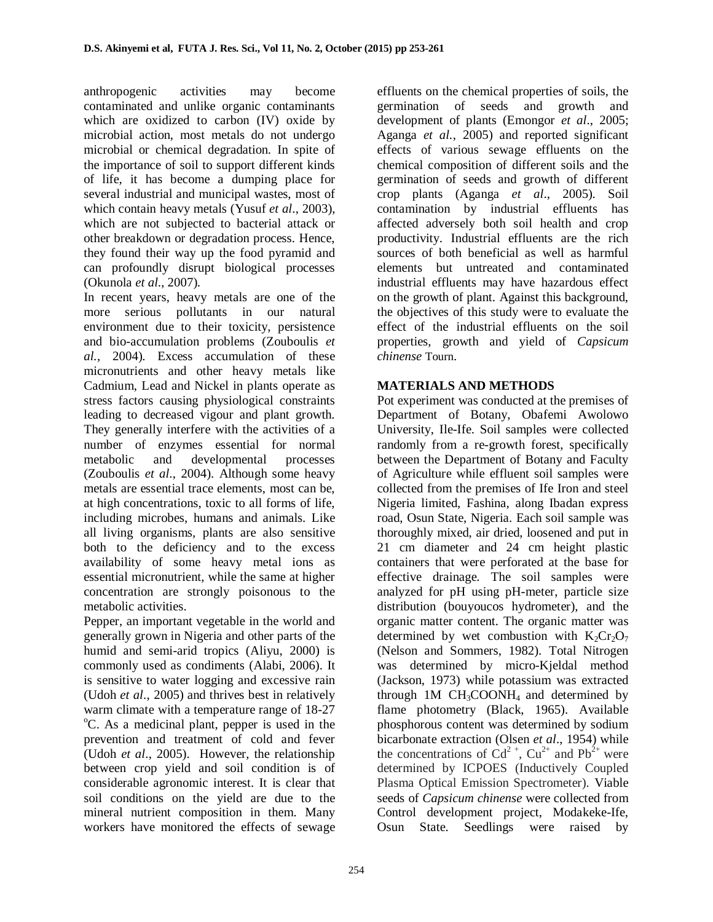anthropogenic activities may become contaminated and unlike organic contaminants which are oxidized to carbon (IV) oxide by microbial action, most metals do not undergo microbial or chemical degradation. In spite of the importance of soil to support different kinds of life, it has become a dumping place for several industrial and municipal wastes, most of which contain heavy metals (Yusuf *et al*., 2003), which are not subjected to bacterial attack or other breakdown or degradation process. Hence, they found their way up the food pyramid and can profoundly disrupt biological processes (Okunola *et al*., 2007).

In recent years, heavy metals are one of the more serious pollutants in our natural environment due to their toxicity, persistence and bio-accumulation problems (Zouboulis *et al.,* 2004). Excess accumulation of these micronutrients and other heavy metals like Cadmium, Lead and Nickel in plants operate as stress factors causing physiological constraints leading to decreased vigour and plant growth. They generally interfere with the activities of a number of enzymes essential for normal metabolic and developmental processes (Zouboulis *et al*., 2004). Although some heavy metals are essential trace elements, most can be, at high concentrations, toxic to all forms of life, including microbes, humans and animals. Like all living organisms, plants are also sensitive both to the deficiency and to the excess availability of some heavy metal ions as essential micronutrient, while the same at higher concentration are strongly poisonous to the metabolic activities.

Pepper, an important vegetable in the world and generally grown in Nigeria and other parts of the humid and semi-arid tropics (Aliyu, 2000) is commonly used as condiments (Alabi, 2006). It is sensitive to water logging and excessive rain (Udoh *et al*., 2005) and thrives best in relatively warm climate with a temperature range of 18-27 <sup>o</sup>C. As a medicinal plant, pepper is used in the prevention and treatment of cold and fever (Udoh *et al*., 2005). However, the relationship between crop yield and soil condition is of considerable agronomic interest. It is clear that soil conditions on the yield are due to the mineral nutrient composition in them. Many workers have monitored the effects of sewage

effluents on the chemical properties of soils, the germination of seeds and growth and development of plants (Emongor *et al*., 2005; Aganga *et al.*, 2005) and reported significant effects of various sewage effluents on the chemical composition of different soils and the germination of seeds and growth of different crop plants (Aganga *et al*., 2005). Soil contamination by industrial effluents has affected adversely both soil health and crop productivity. Industrial effluents are the rich sources of both beneficial as well as harmful elements but untreated and contaminated industrial effluents may have hazardous effect on the growth of plant. Against this background, the objectives of this study were to evaluate the effect of the industrial effluents on the soil properties, growth and yield of *Capsicum chinense* Tourn.

## **MATERIALS AND METHODS**

Pot experiment was conducted at the premises of Department of Botany, Obafemi Awolowo University, Ile-Ife. Soil samples were collected randomly from a re-growth forest, specifically between the Department of Botany and Faculty of Agriculture while effluent soil samples were collected from the premises of Ife Iron and steel Nigeria limited, Fashina, along Ibadan express road, Osun State, Nigeria. Each soil sample was thoroughly mixed, air dried, loosened and put in 21 cm diameter and 24 cm height plastic containers that were perforated at the base for effective drainage. The soil samples were analyzed for pH using pH-meter, particle size distribution (bouyoucos hydrometer), and the organic matter content. The organic matter was determined by wet combustion with  $K_2Cr_2O_7$ (Nelson and Sommers, 1982). Total Nitrogen was determined by micro-Kjeldal method (Jackson, 1973) while potassium was extracted through 1M  $CH<sub>3</sub>COONH<sub>4</sub>$  and determined by flame photometry (Black, 1965). Available phosphorous content was determined by sodium bicarbonate extraction (Olsen *et al*., 1954) while the concentrations of  $Cd^{2+}$ ,  $Cu^{2+}$  and  $Pb^{2+}$  were determined by ICPOES (Inductively Coupled Plasma Optical Emission Spectrometer). Viable seeds of *Capsicum chinense* were collected from Control development project, Modakeke-Ife, Osun State. Seedlings were raised by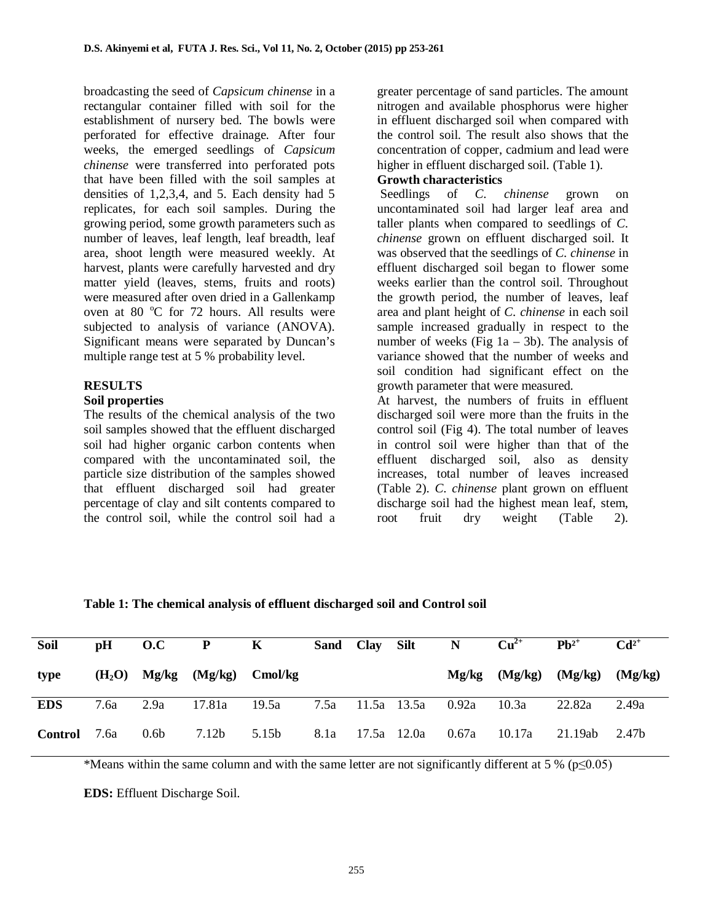broadcasting the seed of *Capsicum chinense* in a rectangular container filled with soil for the establishment of nursery bed. The bowls were perforated for effective drainage. After four weeks, the emerged seedlings of *Capsicum chinense* were transferred into perforated pots that have been filled with the soil samples at densities of 1,2,3,4, and 5. Each density had 5 replicates, for each soil samples. During the growing period, some growth parameters such as number of leaves, leaf length, leaf breadth, leaf area, shoot length were measured weekly. At harvest, plants were carefully harvested and dry matter yield (leaves, stems, fruits and roots) were measured after oven dried in a Gallenkamp oven at 80  $^{\circ}$ C for 72 hours. All results were subjected to analysis of variance (ANOVA). Significant means were separated by Duncan's multiple range test at 5 % probability level.

## **RESULTS**

#### **Soil properties**

The results of the chemical analysis of the two soil samples showed that the effluent discharged soil had higher organic carbon contents when compared with the uncontaminated soil, the particle size distribution of the samples showed that effluent discharged soil had greater percentage of clay and silt contents compared to the control soil, while the control soil had a

greater percentage of sand particles. The amount nitrogen and available phosphorus were higher in effluent discharged soil when compared with the control soil. The result also shows that the concentration of copper, cadmium and lead were higher in effluent discharged soil. (Table 1).

#### **Growth characteristics**

 Seedlings of *C. chinense* grown on uncontaminated soil had larger leaf area and taller plants when compared to seedlings of *C. chinense* grown on effluent discharged soil. It was observed that the seedlings of *C. chinense* in effluent discharged soil began to flower some weeks earlier than the control soil. Throughout the growth period, the number of leaves, leaf area and plant height of *C. chinense* in each soil sample increased gradually in respect to the number of weeks (Fig  $1a - 3b$ ). The analysis of variance showed that the number of weeks and soil condition had significant effect on the growth parameter that were measured.

At harvest, the numbers of fruits in effluent discharged soil were more than the fruits in the control soil (Fig 4). The total number of leaves in control soil were higher than that of the effluent discharged soil, also as density increases, total number of leaves increased (Table 2). *C. chinense* plant grown on effluent discharge soil had the highest mean leaf, stem, root fruit dry weight (Table 2).

**Table 1: The chemical analysis of effluent discharged soil and Control soil**

| Soil           | pН   | 0.C              | $\mathbf{P}$                     | K            |                  | Sand Clay Silt |             | $\mathbf N$ | $Cu2+$            | $\mathbf{P} \mathbf{h}^{2+}$ | $Cd^{2+}$ |
|----------------|------|------------------|----------------------------------|--------------|------------------|----------------|-------------|-------------|-------------------|------------------------------|-----------|
| type           |      |                  | $(H_2O)$ Mg/kg $(Mg/kg)$ Cmol/kg |              |                  |                |             |             | $Mg/kg$ $(Mg/kg)$ | (Mg/kg)                      | (Mg/kg)   |
| <b>EDS</b>     | 7.6a | 2.9a             |                                  | 17.81a 19.5a | 7.5a 11.5a 13.5a |                |             | 0.92a       | 10.3a             | 22.82a                       | 2.49a     |
| <b>Control</b> | 7.6a | 0.6 <sub>b</sub> | 7.12 <sub>b</sub>                | 5.15b        | 8.1a             |                | 17.5a 12.0a | 0.67a       | 10.17a            | 21.19ab                      | 2.47b     |

\*Means within the same column and with the same letter are not significantly different at 5 % ( $p\leq 0.05$ )

**EDS:** Effluent Discharge Soil.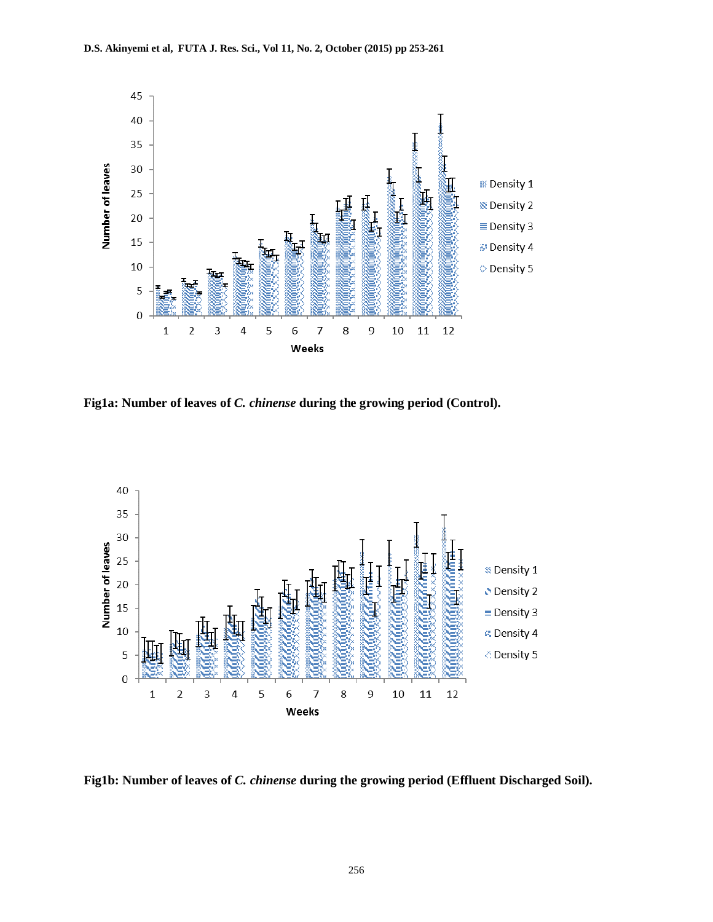

**Fig1a: Number of leaves of** *C. chinense* **during the growing period (Control).**



**Fig1b: Number of leaves of** *C. chinense* **during the growing period (Effluent Discharged Soil).**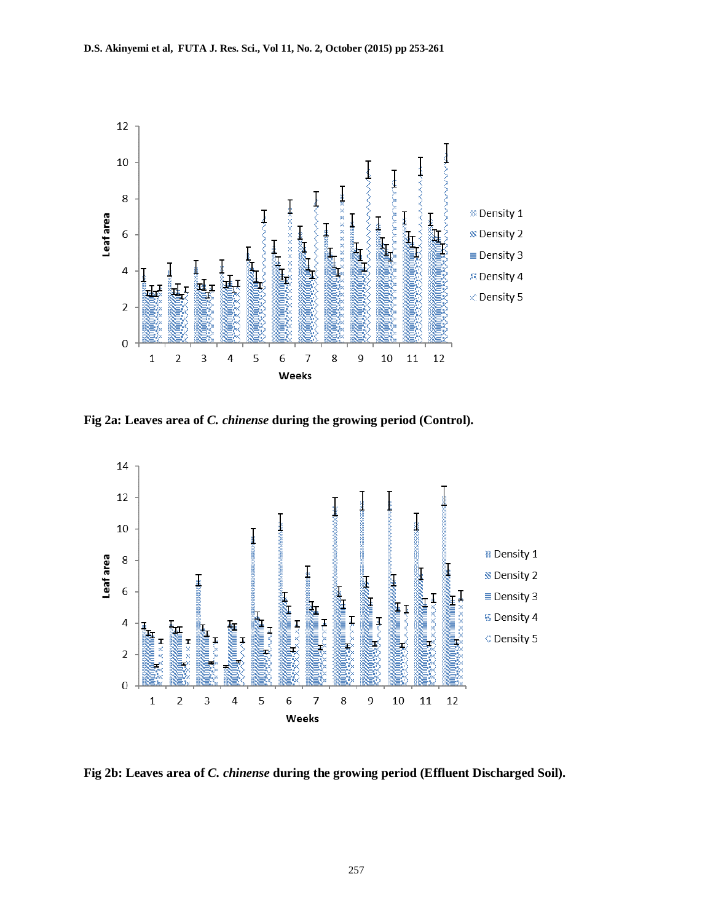

**Fig 2a: Leaves area of** *C. chinense* **during the growing period (Control).**



**Fig 2b: Leaves area of** *C. chinense* **during the growing period (Effluent Discharged Soil).**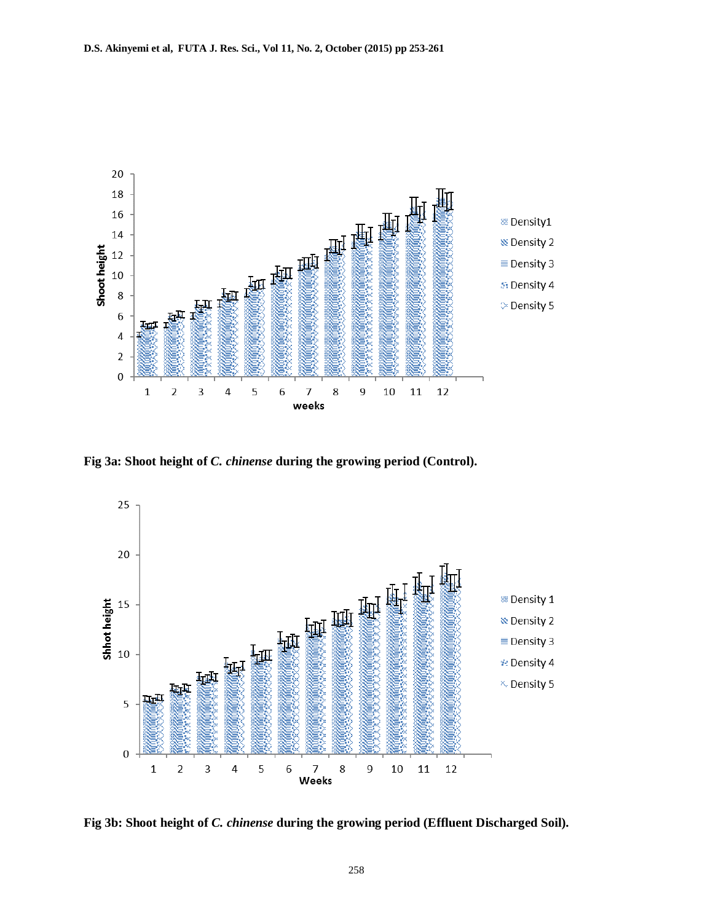

**Fig 3a: Shoot height of** *C. chinense* **during the growing period (Control).**



**Fig 3b: Shoot height of** *C. chinense* **during the growing period (Effluent Discharged Soil).**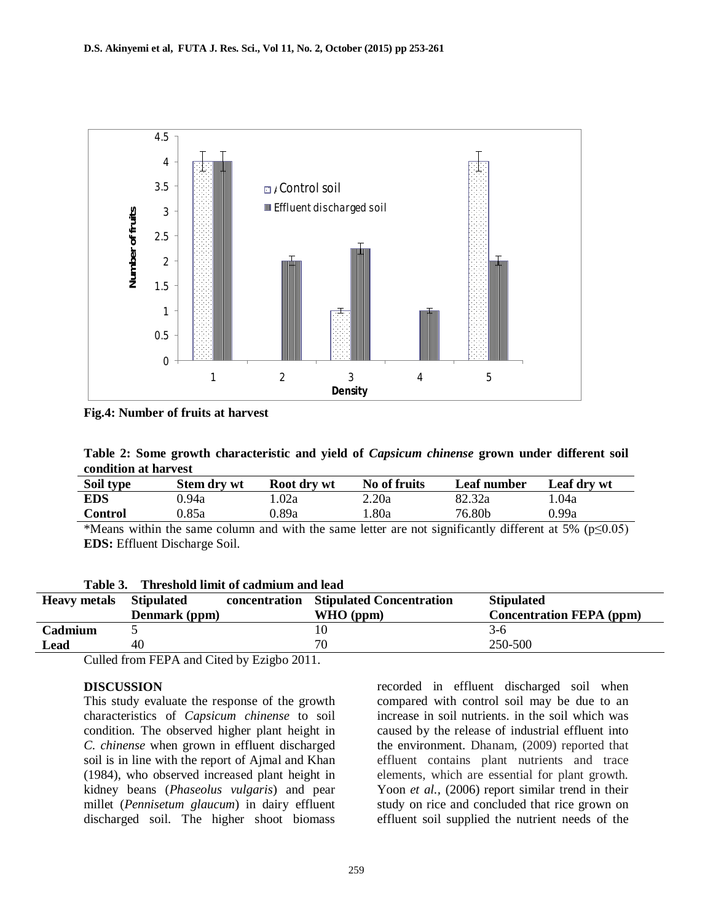

**Fig.4: Number of fruits at harvest**

| Table 2: Some growth characteristic and yield of <i>Capsicum chinense</i> grown under different soil |  |  |  |  |  |
|------------------------------------------------------------------------------------------------------|--|--|--|--|--|
| condition at harvest                                                                                 |  |  |  |  |  |

| Soil type      | <b>Stem dry wt</b> | Root dry wt | No of fruits | Leaf number | Leaf dry wt |
|----------------|--------------------|-------------|--------------|-------------|-------------|
| <b>EDS</b>     | ).94a              | l.02a       | 2.20a        | 82.32a      | l .04a      |
| <b>Control</b> | ).85a              | ).89a       | .80a         | 76.80b      | 0.99a       |

\*Means within the same column and with the same letter are not significantly different at 5% (p≤0.05) **EDS:** Effluent Discharge Soil.

| Table 3. Threshold limit of cadmium and lead |               |  |                                        |                                 |  |  |  |
|----------------------------------------------|---------------|--|----------------------------------------|---------------------------------|--|--|--|
| <b>Heavy metals</b> Stipulated               |               |  | concentration Stipulated Concentration | <b>Stipulated</b>               |  |  |  |
|                                              | Denmark (ppm) |  | $WHO$ (ppm)                            | <b>Concentration FEPA (ppm)</b> |  |  |  |
| Cadmium                                      |               |  | 10                                     | $3-6$                           |  |  |  |
| Lead                                         | 40            |  | 70                                     | 250-500                         |  |  |  |

Culled from FEPA and Cited by Ezigbo 2011.

#### **DISCUSSION**

This study evaluate the response of the growth characteristics of *Capsicum chinense* to soil condition. The observed higher plant height in *C. chinense* when grown in effluent discharged soil is in line with the report of Ajmal and Khan (1984), who observed increased plant height in kidney beans (*Phaseolus vulgaris*) and pear millet (*Pennisetum glaucum*) in dairy effluent discharged soil. The higher shoot biomass

recorded in effluent discharged soil when compared with control soil may be due to an increase in soil nutrients. in the soil which was caused by the release of industrial effluent into the environment. Dhanam, (2009) reported that effluent contains plant nutrients and trace elements, which are essential for plant growth. Yoon *et al.*, (2006) report similar trend in their study on rice and concluded that rice grown on effluent soil supplied the nutrient needs of the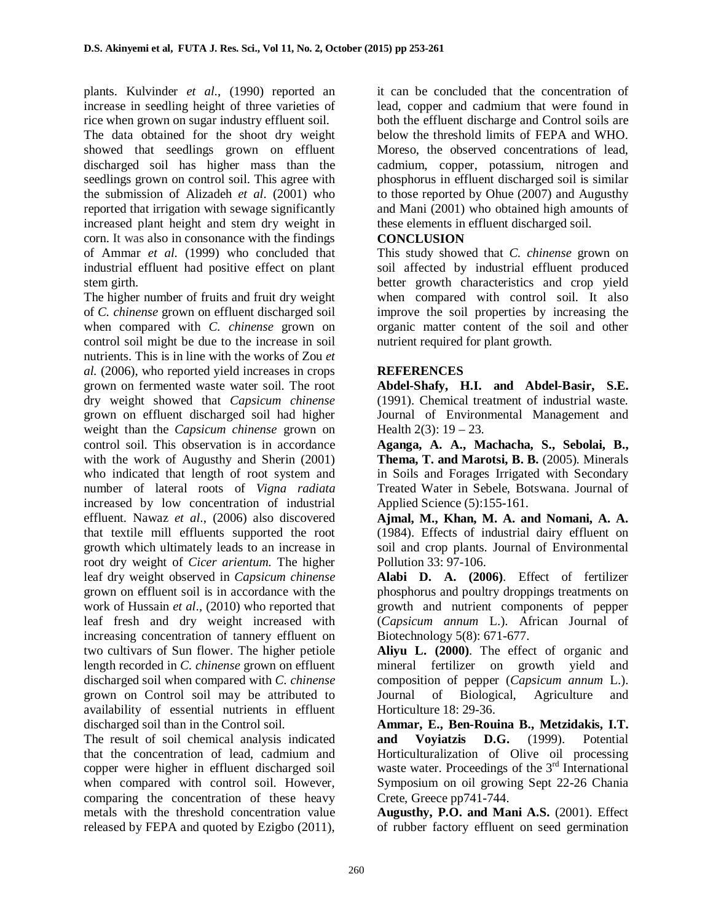plants. Kulvinder *et al.*, (1990) reported an increase in seedling height of three varieties of rice when grown on sugar industry effluent soil.

The data obtained for the shoot dry weight showed that seedlings grown on effluent discharged soil has higher mass than the seedlings grown on control soil. This agree with the submission of Alizadeh *et al*. (2001) who reported that irrigation with sewage significantly increased plant height and stem dry weight in corn. It was also in consonance with the findings of Ammar *et al.* (1999) who concluded that industrial effluent had positive effect on plant stem girth.

The higher number of fruits and fruit dry weight of *C. chinense* grown on effluent discharged soil when compared with *C. chinense* grown on control soil might be due to the increase in soil nutrients. This is in line with the works of Zou *et al.* (2006), who reported yield increases in crops grown on fermented waste water soil. The root dry weight showed that *Capsicum chinense* grown on effluent discharged soil had higher weight than the *Capsicum chinense* grown on control soil. This observation is in accordance with the work of Augusthy and Sherin (2001) who indicated that length of root system and number of lateral roots of *Vigna radiata* increased by low concentration of industrial effluent. Nawaz *et al*., (2006) also discovered that textile mill effluents supported the root growth which ultimately leads to an increase in root dry weight of *Cicer arientum.* The higher leaf dry weight observed in *Capsicum chinense* grown on effluent soil is in accordance with the work of Hussain *et al*., (2010) who reported that leaf fresh and dry weight increased with increasing concentration of tannery effluent on two cultivars of Sun flower. The higher petiole length recorded in *C. chinense* grown on effluent discharged soil when compared with *C. chinense* grown on Control soil may be attributed to availability of essential nutrients in effluent discharged soil than in the Control soil.

The result of soil chemical analysis indicated that the concentration of lead, cadmium and copper were higher in effluent discharged soil when compared with control soil. However, comparing the concentration of these heavy metals with the threshold concentration value released by FEPA and quoted by Ezigbo (2011),

it can be concluded that the concentration of lead, copper and cadmium that were found in both the effluent discharge and Control soils are below the threshold limits of FEPA and WHO. Moreso, the observed concentrations of lead, cadmium, copper, potassium, nitrogen and phosphorus in effluent discharged soil is similar to those reported by Ohue (2007) and Augusthy and Mani (2001) who obtained high amounts of these elements in effluent discharged soil.

## **CONCLUSION**

This study showed that *C. chinense* grown on soil affected by industrial effluent produced better growth characteristics and crop yield when compared with control soil. It also improve the soil properties by increasing the organic matter content of the soil and other nutrient required for plant growth.

## **REFERENCES**

**Abdel-Shafy, H.I. and Abdel-Basir, S.E.** (1991). Chemical treatment of industrial waste. Journal of Environmental Management and Health  $2(3)$ :  $19 - 23$ .

**Aganga, A. A., Machacha, S., Sebolai, B., Thema, T. and Marotsi, B. B.** (2005). Minerals in Soils and Forages Irrigated with Secondary Treated Water in Sebele, Botswana. Journal of Applied Science (5):155-161.

**Ajmal, M., Khan, M. A. and Nomani, A. A.** (1984). Effects of industrial dairy effluent on soil and crop plants. Journal of Environmental Pollution 33: 97-106.

**Alabi D. A. (2006)**. Effect of fertilizer phosphorus and poultry droppings treatments on growth and nutrient components of pepper (*Capsicum annum* L.). African Journal of Biotechnology 5(8): 671-677.

**Aliyu L. (2000)**. The effect of organic and mineral fertilizer on growth yield and composition of pepper (*Capsicum annum* L.). Journal of Biological, Agriculture and Horticulture 18: 29-36.

**Ammar, E., Ben-Rouina B., Metzidakis, I.T. and Voyiatzis D.G.** (1999). Potential Horticulturalization of Olive oil processing waste water. Proceedings of the  $3<sup>rd</sup>$  International Symposium on oil growing Sept 22-26 Chania Crete, Greece pp741-744.

**Augusthy, P.O. and Mani A.S.** (2001). Effect of rubber factory effluent on seed germination